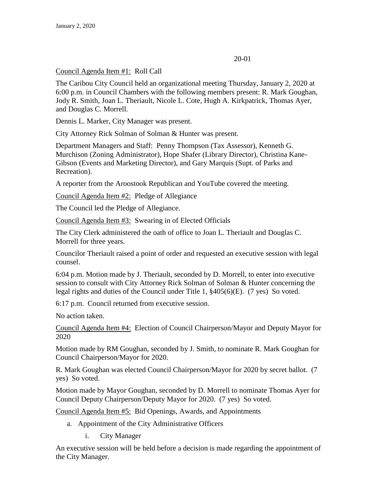#### 20-01

#### Council Agenda Item #1: Roll Call

The Caribou City Council held an organizational meeting Thursday, January 2, 2020 at 6:00 p.m. in Council Chambers with the following members present: R. Mark Goughan, Jody R. Smith, Joan L. Theriault, Nicole L. Cote, Hugh A. Kirkpatrick, Thomas Ayer, and Douglas C. Morrell.

Dennis L. Marker, City Manager was present.

City Attorney Rick Solman of Solman & Hunter was present.

Department Managers and Staff: Penny Thompson (Tax Assessor), Kenneth G. Murchison (Zoning Administrator), Hope Shafer (Library Director), Christina Kane-Gibson (Events and Marketing Director), and Gary Marquis (Supt. of Parks and Recreation).

A reporter from the Aroostook Republican and YouTube covered the meeting.

Council Agenda Item #2: Pledge of Allegiance

The Council led the Pledge of Allegiance.

Council Agenda Item #3: Swearing in of Elected Officials

The City Clerk administered the oath of office to Joan L. Theriault and Douglas C. Morrell for three years.

Councilor Theriault raised a point of order and requested an executive session with legal counsel.

6:04 p.m. Motion made by J. Theriault, seconded by D. Morrell, to enter into executive session to consult with City Attorney Rick Solman of Solman & Hunter concerning the legal rights and duties of the Council under Title 1, §405(6)(E). (7 yes) So voted.

6:17 p.m. Council returned from executive session.

No action taken.

Council Agenda Item #4: Election of Council Chairperson/Mayor and Deputy Mayor for 2020

Motion made by RM Goughan, seconded by J. Smith, to nominate R. Mark Goughan for Council Chairperson/Mayor for 2020.

R. Mark Goughan was elected Council Chairperson/Mayor for 2020 by secret ballot. (7 yes) So voted.

Motion made by Mayor Goughan, seconded by D. Morrell to nominate Thomas Ayer for Council Deputy Chairperson/Deputy Mayor for 2020. (7 yes) So voted.

Council Agenda Item #5: Bid Openings, Awards, and Appointments

- a. Appointment of the City Administrative Officers
	- i. City Manager

An executive session will be held before a decision is made regarding the appointment of the City Manager.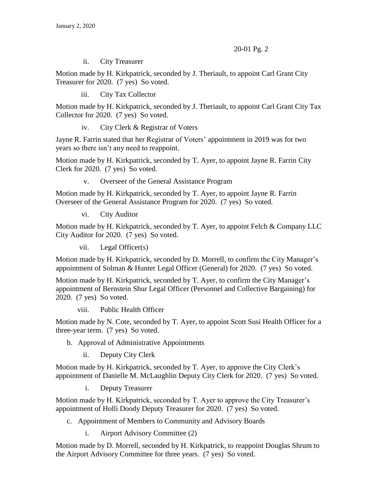ii. City Treasurer

Motion made by H. Kirkpatrick, seconded by J. Theriault, to appoint Carl Grant City Treasurer for 2020. (7 yes) So voted.

iii. City Tax Collector

Motion made by H. Kirkpatrick, seconded by J. Theriault, to appoint Carl Grant City Tax Collector for 2020. (7 yes) So voted.

iv. City Clerk & Registrar of Voters

Jayne R. Farrin stated that her Registrar of Voters' appointment in 2019 was for two years so there isn't any need to reappoint.

Motion made by H. Kirkpatrick, seconded by T. Ayer, to appoint Jayne R. Farrin City Clerk for 2020. (7 yes) So voted.

v. Overseer of the General Assistance Program

Motion made by H. Kirkpatrick, seconded by T. Ayer, to appoint Jayne R. Farrin Overseer of the General Assistance Program for 2020. (7 yes) So voted.

vi. City Auditor

Motion made by H. Kirkpatrick, seconded by T. Ayer, to appoint Felch & Company LLC City Auditor for 2020. (7 yes) So voted.

vii. Legal Officer(s)

Motion made by H. Kirkpatrick, seconded by D. Morrell, to confirm the City Manager's appointment of Solman & Hunter Legal Officer (General) for 2020. (7 yes) So voted.

Motion made by H. Kirkpatrick, seconded by T. Ayer, to confirm the City Manager's appointment of Bernstein Shur Legal Officer (Personnel and Collective Bargaining) for 2020. (7 yes) So voted.

viii. Public Health Officer

Motion made by N. Cote, seconded by T. Ayer, to appoint Scott Susi Health Officer for a three-year term. (7 yes) So voted.

- b. Approval of Administrative Appointments
	- ii. Deputy City Clerk

Motion made by H. Kirkpatrick, seconded by T. Ayer, to approve the City Clerk's appointment of Danielle M. McLaughlin Deputy City Clerk for 2020. (7 yes) So voted.

i. Deputy Treasurer

Motion made by H. Kirkpatrick, seconded by T. Ayer to approve the City Treasurer's appointment of Holli Doody Deputy Treasurer for 2020. (7 yes) So voted.

c. Appointment of Members to Community and Advisory Boards

i. Airport Advisory Committee (2)

Motion made by D. Morrell, seconded by H. Kirkpatrick, to reappoint Douglas Shrum to the Airport Advisory Committee for three years. (7 yes) So voted.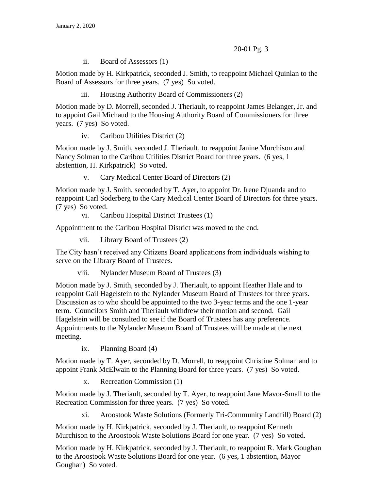ii. Board of Assessors (1)

Motion made by H. Kirkpatrick, seconded J. Smith, to reappoint Michael Quinlan to the Board of Assessors for three years. (7 yes) So voted.

iii. Housing Authority Board of Commissioners (2)

Motion made by D. Morrell, seconded J. Theriault, to reappoint James Belanger, Jr. and to appoint Gail Michaud to the Housing Authority Board of Commissioners for three years. (7 yes) So voted.

iv. Caribou Utilities District (2)

Motion made by J. Smith, seconded J. Theriault, to reappoint Janine Murchison and Nancy Solman to the Caribou Utilities District Board for three years. (6 yes, 1 abstention, H. Kirkpatrick) So voted.

v. Cary Medical Center Board of Directors (2)

Motion made by J. Smith, seconded by T. Ayer, to appoint Dr. Irene Djuanda and to reappoint Carl Soderberg to the Cary Medical Center Board of Directors for three years. (7 yes) So voted.

vi. Caribou Hospital District Trustees (1)

Appointment to the Caribou Hospital District was moved to the end.

vii. Library Board of Trustees (2)

The City hasn't received any Citizens Board applications from individuals wishing to serve on the Library Board of Trustees.

viii. Nylander Museum Board of Trustees (3)

Motion made by J. Smith, seconded by J. Theriault, to appoint Heather Hale and to reappoint Gail Hagelstein to the Nylander Museum Board of Trustees for three years. Discussion as to who should be appointed to the two 3-year terms and the one 1-year term. Councilors Smith and Theriault withdrew their motion and second. Gail Hagelstein will be consulted to see if the Board of Trustees has any preference. Appointments to the Nylander Museum Board of Trustees will be made at the next meeting.

ix. Planning Board (4)

Motion made by T. Ayer, seconded by D. Morrell, to reappoint Christine Solman and to appoint Frank McElwain to the Planning Board for three years. (7 yes) So voted.

x. Recreation Commission (1)

Motion made by J. Theriault, seconded by T. Ayer, to reappoint Jane Mavor-Small to the Recreation Commission for three years. (7 yes) So voted.

xi. Aroostook Waste Solutions (Formerly Tri-Community Landfill) Board (2)

Motion made by H. Kirkpatrick, seconded by J. Theriault, to reappoint Kenneth Murchison to the Aroostook Waste Solutions Board for one year. (7 yes) So voted.

Motion made by H. Kirkpatrick, seconded by J. Theriault, to reappoint R. Mark Goughan to the Aroostook Waste Solutions Board for one year. (6 yes, 1 abstention, Mayor Goughan) So voted.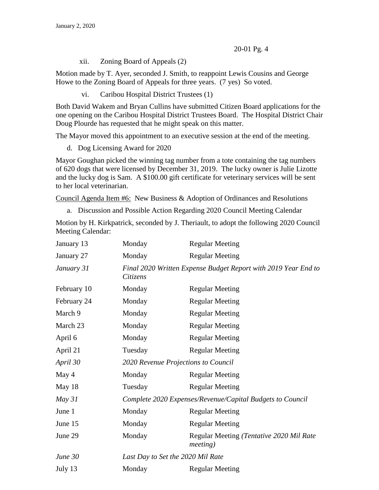xii. Zoning Board of Appeals (2)

Motion made by T. Ayer, seconded J. Smith, to reappoint Lewis Cousins and George Howe to the Zoning Board of Appeals for three years. (7 yes) So voted.

vi. Caribou Hospital District Trustees (1)

Both David Wakem and Bryan Cullins have submitted Citizen Board applications for the one opening on the Caribou Hospital District Trustees Board. The Hospital District Chair Doug Plourde has requested that he might speak on this matter.

The Mayor moved this appointment to an executive session at the end of the meeting.

d. Dog Licensing Award for 2020

Mayor Goughan picked the winning tag number from a tote containing the tag numbers of 620 dogs that were licensed by December 31, 2019. The lucky owner is Julie Lizotte and the lucky dog is Sam. A \$100.00 gift certificate for veterinary services will be sent to her local veterinarian.

Council Agenda Item #6: New Business & Adoption of Ordinances and Resolutions

a. Discussion and Possible Action Regarding 2020 Council Meeting Calendar

Motion by H. Kirkpatrick, seconded by J. Theriault, to adopt the following 2020 Council Meeting Calendar:

| January 13  | Monday                                                    | <b>Regular Meeting</b>                                         |
|-------------|-----------------------------------------------------------|----------------------------------------------------------------|
| January 27  | Monday                                                    | <b>Regular Meeting</b>                                         |
| January 31  | Citizens                                                  | Final 2020 Written Expense Budget Report with 2019 Year End to |
| February 10 | Monday                                                    | <b>Regular Meeting</b>                                         |
| February 24 | Monday                                                    | <b>Regular Meeting</b>                                         |
| March 9     | Monday                                                    | <b>Regular Meeting</b>                                         |
| March 23    | Monday                                                    | <b>Regular Meeting</b>                                         |
| April 6     | Monday                                                    | <b>Regular Meeting</b>                                         |
| April 21    | Tuesday                                                   | <b>Regular Meeting</b>                                         |
| April 30    | 2020 Revenue Projections to Council                       |                                                                |
| May 4       | Monday                                                    | <b>Regular Meeting</b>                                         |
| May 18      | Tuesday                                                   | <b>Regular Meeting</b>                                         |
| May $31$    | Complete 2020 Expenses/Revenue/Capital Budgets to Council |                                                                |
| June 1      | Monday                                                    | <b>Regular Meeting</b>                                         |
| June 15     | Monday                                                    | <b>Regular Meeting</b>                                         |
| June 29     | Monday                                                    | Regular Meeting (Tentative 2020 Mil Rate<br><i>meeting</i> )   |
| June 30     | Last Day to Set the 2020 Mil Rate                         |                                                                |
| July 13     | Monday                                                    | <b>Regular Meeting</b>                                         |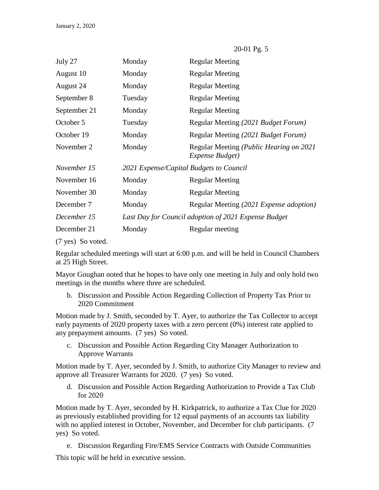| July 27      | Monday                                  | <b>Regular Meeting</b>                                             |
|--------------|-----------------------------------------|--------------------------------------------------------------------|
| August 10    | Monday                                  | <b>Regular Meeting</b>                                             |
| August 24    | Monday                                  | <b>Regular Meeting</b>                                             |
| September 8  | Tuesday                                 | <b>Regular Meeting</b>                                             |
| September 21 | Monday                                  | <b>Regular Meeting</b>                                             |
| October 5    | Tuesday                                 | Regular Meeting (2021 Budget Forum)                                |
| October 19   | Monday                                  | Regular Meeting (2021 Budget Forum)                                |
| November 2   | Monday                                  | Regular Meeting ( <i>Public Hearing on 2021</i><br>Expense Budget) |
| November 15  | 2021 Expense/Capital Budgets to Council |                                                                    |
| November 16  | Monday                                  | <b>Regular Meeting</b>                                             |
| November 30  | Monday                                  | <b>Regular Meeting</b>                                             |
| December 7   | Monday                                  | Regular Meeting (2021 Expense adoption)                            |
| December 15  |                                         | Last Day for Council adoption of 2021 Expense Budget               |
| December 21  | Monday                                  | Regular meeting                                                    |
|              |                                         |                                                                    |

(7 yes) So voted.

Regular scheduled meetings will start at 6:00 p.m. and will be held in Council Chambers at 25 High Street.

Mayor Goughan noted that he hopes to have only one meeting in July and only hold two meetings in the months where three are scheduled.

b. Discussion and Possible Action Regarding Collection of Property Tax Prior to 2020 Commitment

Motion made by J. Smith, seconded by T. Ayer, to authorize the Tax Collector to accept early payments of 2020 property taxes with a zero percent (0%) interest rate applied to any prepayment amounts. (7 yes) So voted.

c. Discussion and Possible Action Regarding City Manager Authorization to Approve Warrants

Motion made by T. Ayer, seconded by J. Smith, to authorize City Manager to review and approve all Treasurer Warrants for 2020. (7 yes) So voted.

d. Discussion and Possible Action Regarding Authorization to Provide a Tax Club for 2020

Motion made by T. Ayer, seconded by H. Kirkpatrick, to authorize a Tax Clue for 2020 as previously established providing for 12 equal payments of an accounts tax liability with no applied interest in October, November, and December for club participants. (7 yes) So voted.

e. Discussion Regarding Fire/EMS Service Contracts with Outside Communities

This topic will be held in executive session.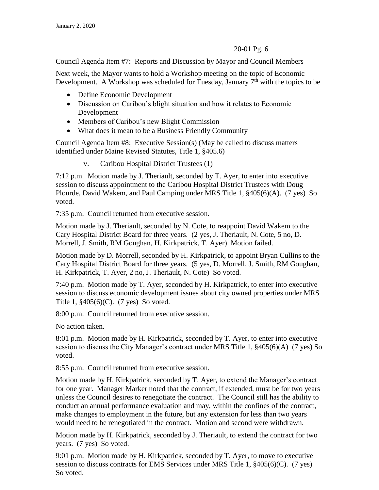Council Agenda Item #7: Reports and Discussion by Mayor and Council Members

Next week, the Mayor wants to hold a Workshop meeting on the topic of Economic Development. A Workshop was scheduled for Tuesday, January  $7<sup>th</sup>$  with the topics to be

- Define Economic Development
- Discussion on Caribou's blight situation and how it relates to Economic Development
- Members of Caribou's new Blight Commission
- What does it mean to be a Business Friendly Community

Council Agenda Item #8: Executive Session(s) (May be called to discuss matters identified under Maine Revised Statutes, Title 1, §405.6)

v. Caribou Hospital District Trustees (1)

7:12 p.m. Motion made by J. Theriault, seconded by T. Ayer, to enter into executive session to discuss appointment to the Caribou Hospital District Trustees with Doug Plourde, David Wakem, and Paul Camping under MRS Title 1, §405(6)(A). (7 yes) So voted.

7:35 p.m. Council returned from executive session.

Motion made by J. Theriault, seconded by N. Cote, to reappoint David Wakem to the Cary Hospital District Board for three years. (2 yes, J. Theriault, N. Cote, 5 no, D. Morrell, J. Smith, RM Goughan, H. Kirkpatrick, T. Ayer) Motion failed.

Motion made by D. Morrell, seconded by H. Kirkpatrick, to appoint Bryan Cullins to the Cary Hospital District Board for three years. (5 yes, D. Morrell, J. Smith, RM Goughan, H. Kirkpatrick, T. Ayer, 2 no, J. Theriault, N. Cote) So voted.

7:40 p.m. Motion made by T. Ayer, seconded by H. Kirkpatrick, to enter into executive session to discuss economic development issues about city owned properties under MRS Title 1, §405(6)(C). (7 yes) So voted.

8:00 p.m. Council returned from executive session.

No action taken.

8:01 p.m. Motion made by H. Kirkpatrick, seconded by T. Ayer, to enter into executive session to discuss the City Manager's contract under MRS Title 1, §405(6)(A) (7 yes) So voted.

8:55 p.m. Council returned from executive session.

Motion made by H. Kirkpatrick, seconded by T. Ayer, to extend the Manager's contract for one year. Manager Marker noted that the contract, if extended, must be for two years unless the Council desires to renegotiate the contract. The Council still has the ability to conduct an annual performance evaluation and may, within the confines of the contract, make changes to employment in the future, but any extension for less than two years would need to be renegotiated in the contract. Motion and second were withdrawn.

Motion made by H. Kirkpatrick, seconded by J. Theriault, to extend the contract for two years. (7 yes) So voted.

9:01 p.m. Motion made by H. Kirkpatrick, seconded by T. Ayer, to move to executive session to discuss contracts for EMS Services under MRS Title 1, §405(6)(C). (7 yes) So voted.